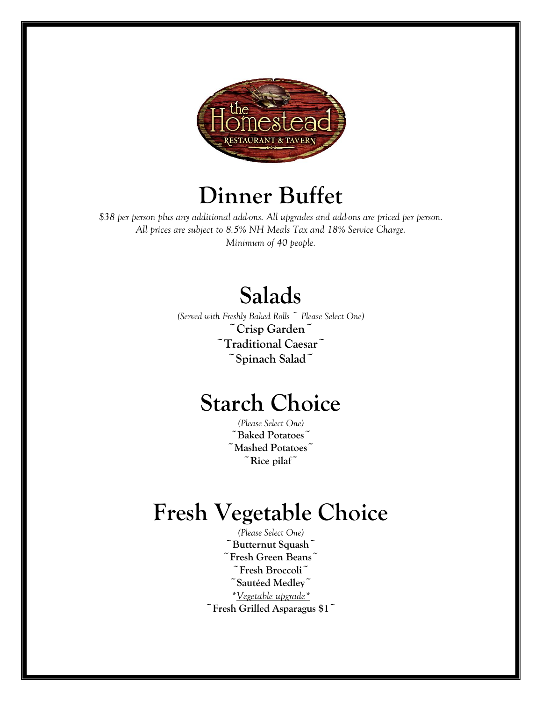

# **Dinner Buffet**

*\$38 per person plus any additional add-ons. All upgrades and add-ons are priced per person. All prices are subject to 8.5% NH Meals Tax and 18% Service Charge. Minimum of 40 people.*

# **Salads**

*(Served with Freshly Baked Rolls ~ Please Select One)* **~Crisp Garden~ ~Traditional Caesar~ ~Spinach Salad~**

# **Starch Choice**

*(Please Select One)* **~Baked Potatoes~ ~Mashed Potatoes~ ~Rice pilaf~**

# **Fresh Vegetable Choice**

*(Please Select One)* **~Butternut Squash~ ~Fresh Green Beans~ ~Fresh Broccoli~ ~Sautéed Medley~** *\*Vegetable upgrade\** **~Fresh Grilled Asparagus \$1~**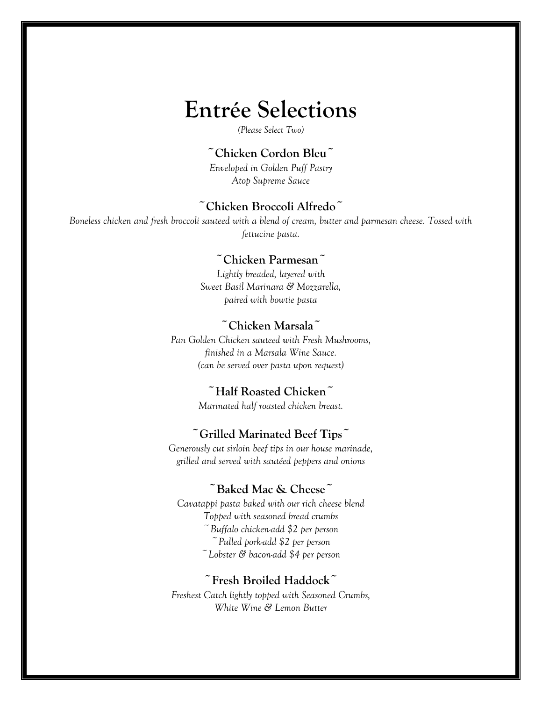# **Entrée Selections**

*(Please Select Two)*

#### **~Chicken Cordon Bleu~**

*Enveloped in Golden Puff Pastry Atop Supreme Sauce*

# **~Chicken Broccoli Alfredo~**

*Boneless chicken and fresh broccoli sauteed with a blend of cream, butter and parmesan cheese. Tossed with fettucine pasta.*

#### **~Chicken Parmesan~**

*Lightly breaded, layered with Sweet Basil Marinara & Mozzarella, paired with bowtie pasta*

### **~Chicken Marsala~**

*Pan Golden Chicken sauteed with Fresh Mushrooms, finished in a Marsala Wine Sauce. (can be served over pasta upon request)*

# **~Half Roasted Chicken~**

*Marinated half roasted chicken breast.*

### **~Grilled Marinated Beef Tips~**

*Generously cut sirloin beef tips in our house marinade, grilled and served with sautéed peppers and onions*

# **~Baked Mac & Cheese~**

*Cavatappi pasta baked with our rich cheese blend Topped with seasoned bread crumbs ~Buffalo chicken-add \$2 per person ~Pulled pork-add \$2 per person ~Lobster & bacon-add \$4 per person*

### **~Fresh Broiled Haddock~**

*Freshest Catch lightly topped with Seasoned Crumbs, White Wine & Lemon Butter*